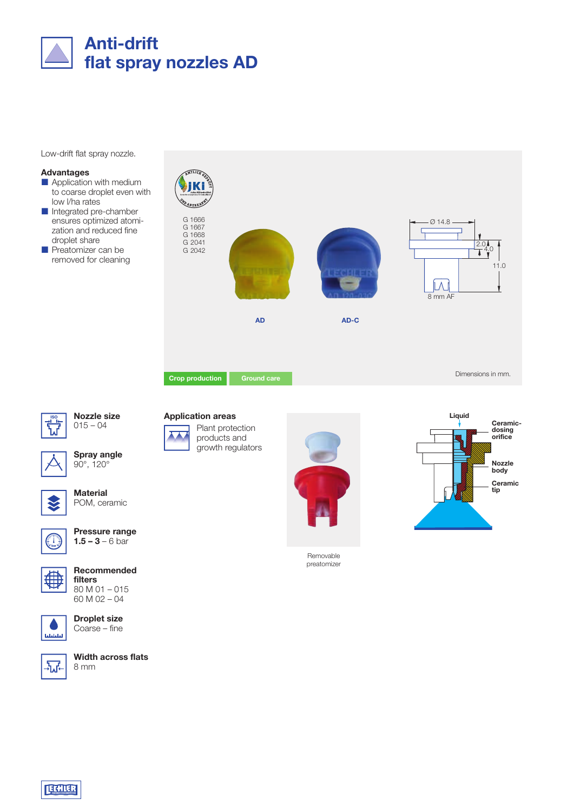

Low-drift flat spray nozzle.

### Advantages

- **Application with medium** to coarse droplet even with low l/ha rates
- Integrated pre-chamber ensures optimized atomization and reduced fine droplet share
- Preatomizer can be removed for cleaning



本人



Nozzle size  $015 - 04$ **ISO Application areas**<br>  $\frac{1}{2}$  O15 – 04<br> **ISO Application areas**<br> **ISO Application areas** 



Spray angle 90°, 120°



**Material** POM, ceramic



Pressure range  $1.5 - 3 - 6$  bar



Recommended filters 80 M 01 – 015 60 M 02 – 04







Width across flats 8 mm







Removable preatomizer